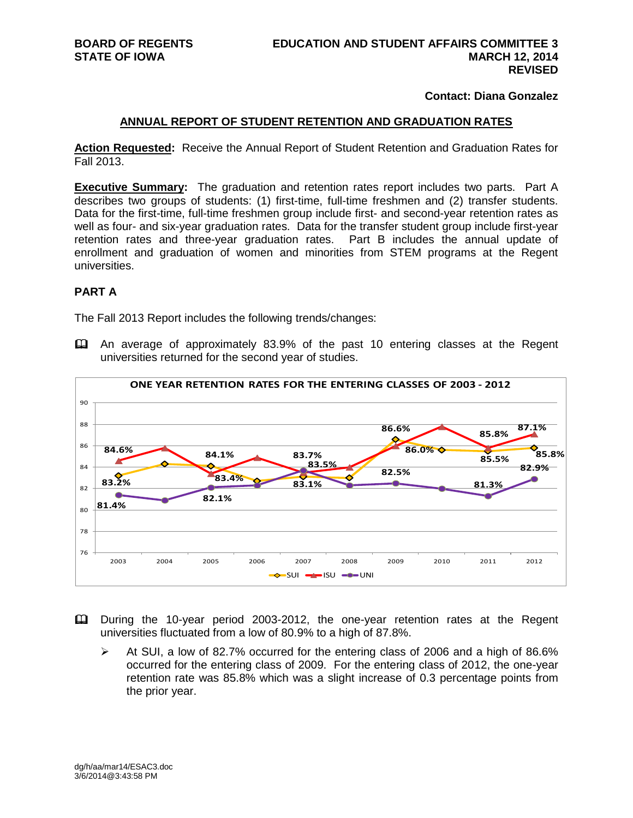## **Contact: Diana Gonzalez**

### **ANNUAL REPORT OF STUDENT RETENTION AND GRADUATION RATES**

**Action Requested:** Receive the Annual Report of Student Retention and Graduation Rates for Fall 2013.

**Executive Summary:** The graduation and retention rates report includes two parts. Part A describes two groups of students: (1) first-time, full-time freshmen and (2) transfer students. Data for the first-time, full-time freshmen group include first- and second-year retention rates as well as four- and six-year graduation rates. Data for the transfer student group include first-year retention rates and three-year graduation rates. Part B includes the annual update of enrollment and graduation of women and minorities from STEM programs at the Regent universities.

## **PART A**

The Fall 2013 Report includes the following trends/changes:

 An average of approximately 83.9% of the past 10 entering classes at the Regent universities returned for the second year of studies.



- During the 10-year period 2003-2012, the one-year retention rates at the Regent universities fluctuated from a low of 80.9% to a high of 87.8%.
	- $\triangleright$  At SUI, a low of 82.7% occurred for the entering class of 2006 and a high of 86.6% occurred for the entering class of 2009. For the entering class of 2012, the one-year retention rate was 85.8% which was a slight increase of 0.3 percentage points from the prior year.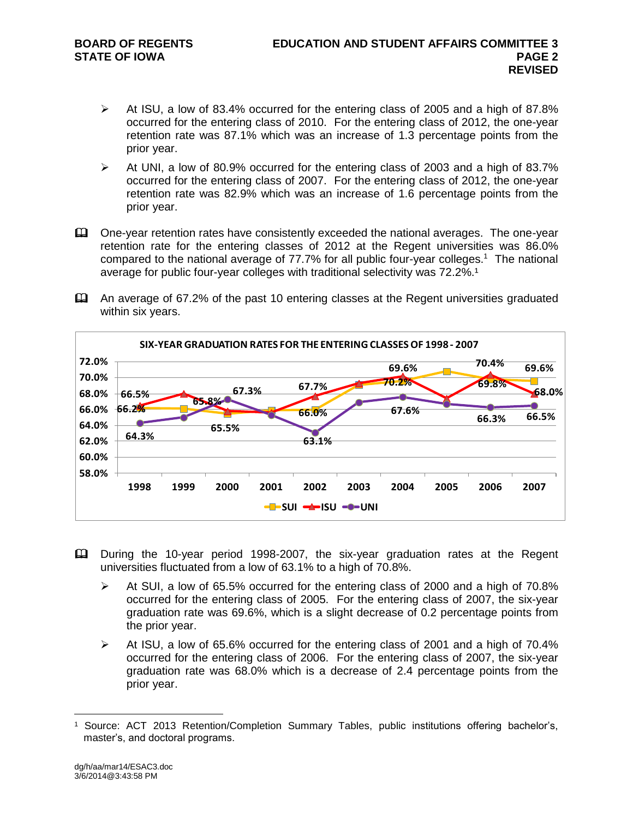- $\triangleright$  At ISU, a low of 83.4% occurred for the entering class of 2005 and a high of 87.8% occurred for the entering class of 2010. For the entering class of 2012, the one-year retention rate was 87.1% which was an increase of 1.3 percentage points from the prior year.
- $\triangleright$  At UNI, a low of 80.9% occurred for the entering class of 2003 and a high of 83.7% occurred for the entering class of 2007. For the entering class of 2012, the one-year retention rate was 82.9% which was an increase of 1.6 percentage points from the prior year.
- One-year retention rates have consistently exceeded the national averages. The one-year retention rate for the entering classes of 2012 at the Regent universities was 86.0% compared to the national average of 77.7% for all public four-year colleges.<sup>1</sup> The national average for public four-year colleges with traditional selectivity was  $72.2\%$ .<sup>1</sup>
- An average of 67.2% of the past 10 entering classes at the Regent universities graduated within six years.



- During the 10-year period 1998-2007, the six-year graduation rates at the Regent universities fluctuated from a low of 63.1% to a high of 70.8%.
	- $\blacktriangleright$  At SUI, a low of 65.5% occurred for the entering class of 2000 and a high of 70.8% occurred for the entering class of 2005. For the entering class of 2007, the six-year graduation rate was 69.6%, which is a slight decrease of 0.2 percentage points from the prior year.
	- $\blacktriangleright$  At ISU, a low of 65.6% occurred for the entering class of 2001 and a high of 70.4% occurred for the entering class of 2006. For the entering class of 2007, the six-year graduation rate was 68.0% which is a decrease of 2.4 percentage points from the prior year.

<sup>1</sup> Source: ACT 2013 Retention/Completion Summary Tables, public institutions offering bachelor's, master's, and doctoral programs.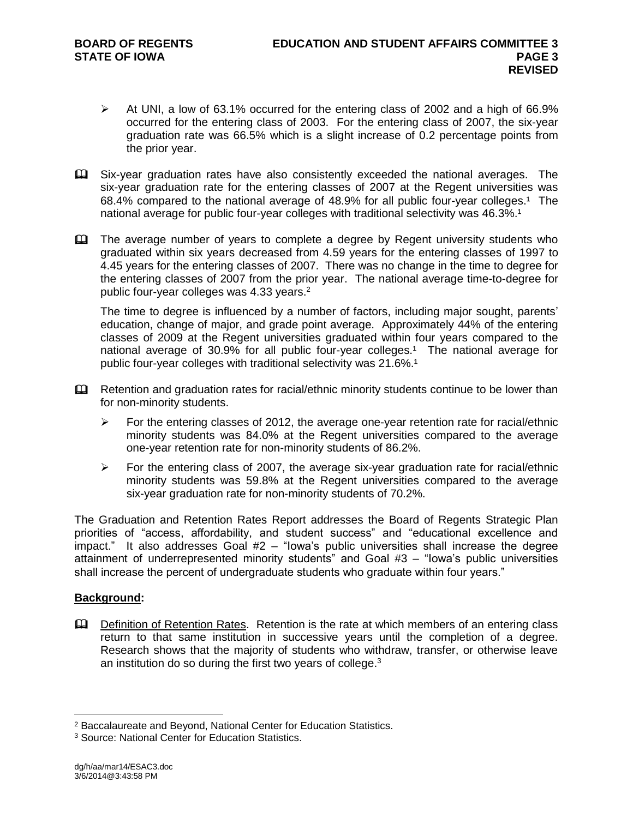- $\triangleright$  At UNI, a low of 63.1% occurred for the entering class of 2002 and a high of 66.9% occurred for the entering class of 2003. For the entering class of 2007, the six-year graduation rate was 66.5% which is a slight increase of 0.2 percentage points from the prior year.
- Six-year graduation rates have also consistently exceeded the national averages. The six-year graduation rate for the entering classes of 2007 at the Regent universities was 68.4% compared to the national average of 48.9% for all public four-year colleges.<sup>1</sup> The national average for public four-year colleges with traditional selectivity was 46.3%.<sup>1</sup>
- The average number of years to complete a degree by Regent university students who graduated within six years decreased from 4.59 years for the entering classes of 1997 to 4.45 years for the entering classes of 2007. There was no change in the time to degree for the entering classes of 2007 from the prior year. The national average time-to-degree for public four-year colleges was 4.33 years.<sup>2</sup>

The time to degree is influenced by a number of factors, including major sought, parents' education, change of major, and grade point average. Approximately 44% of the entering classes of 2009 at the Regent universities graduated within four years compared to the national average of 30.9% for all public four-year colleges.<sup>1</sup> The national average for public four-year colleges with traditional selectivity was 21.6%.<sup>1</sup>

- Eu Retention and graduation rates for racial/ethnic minority students continue to be lower than for non-minority students.
	- $\triangleright$  For the entering classes of 2012, the average one-year retention rate for racial/ethnic minority students was 84.0% at the Regent universities compared to the average one-year retention rate for non-minority students of 86.2%.
	- $\triangleright$  For the entering class of 2007, the average six-year graduation rate for racial/ethnic minority students was 59.8% at the Regent universities compared to the average six-year graduation rate for non-minority students of 70.2%.

The Graduation and Retention Rates Report addresses the Board of Regents Strategic Plan priorities of "access, affordability, and student success" and "educational excellence and impact." It also addresses Goal  $#2 - "Iowa's public universities shall increase the degree$ attainment of underrepresented minority students" and Goal #3 – "Iowa's public universities shall increase the percent of undergraduate students who graduate within four years."

# **Background:**

 $\overline{a}$ 

**Quare Definition of Retention Rates.** Retention is the rate at which members of an entering class return to that same institution in successive years until the completion of a degree. Research shows that the majority of students who withdraw, transfer, or otherwise leave an institution do so during the first two years of college.<sup>3</sup>

<sup>2</sup> Baccalaureate and Beyond, National Center for Education Statistics.

<sup>3</sup> Source: National Center for Education Statistics.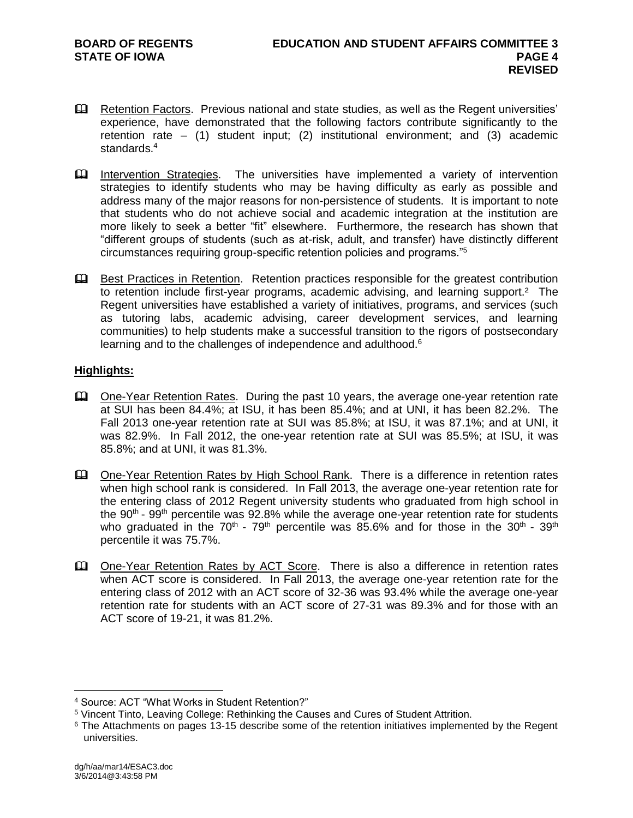- Retention Factors. Previous national and state studies, as well as the Regent universities' experience, have demonstrated that the following factors contribute significantly to the retention rate – (1) student input; (2) institutional environment; and (3) academic standards.<sup>4</sup>
- Intervention Strategies. The universities have implemented a variety of intervention strategies to identify students who may be having difficulty as early as possible and address many of the major reasons for non-persistence of students. It is important to note that students who do not achieve social and academic integration at the institution are more likely to seek a better "fit" elsewhere. Furthermore, the research has shown that "different groups of students (such as at-risk, adult, and transfer) have distinctly different circumstances requiring group-specific retention policies and programs."<sup>5</sup>
- Best Practices in Retention. Retention practices responsible for the greatest contribution to retention include first-year programs, academic advising, and learning support.<sup>2</sup> The Regent universities have established a variety of initiatives, programs, and services (such as tutoring labs, academic advising, career development services, and learning communities) to help students make a successful transition to the rigors of postsecondary learning and to the challenges of independence and adulthood.<sup>6</sup>

## **Highlights:**

- One-Year Retention Rates. During the past 10 years, the average one-year retention rate at SUI has been 84.4%; at ISU, it has been 85.4%; and at UNI, it has been 82.2%. The Fall 2013 one-year retention rate at SUI was 85.8%; at ISU, it was 87.1%; and at UNI, it was 82.9%. In Fall 2012, the one-year retention rate at SUI was 85.5%; at ISU, it was 85.8%; and at UNI, it was 81.3%.
- Cull One-Year Retention Rates by High School Rank. There is a difference in retention rates when high school rank is considered. In Fall 2013, the average one-year retention rate for the entering class of 2012 Regent university students who graduated from high school in the 90<sup>th</sup> - 99<sup>th</sup> percentile was 92.8% while the average one-year retention rate for students who graduated in the 70<sup>th</sup> - 79<sup>th</sup> percentile was 85.6% and for those in the 30<sup>th</sup> - 39<sup>th</sup> percentile it was 75.7%.
- **EQ One-Year Retention Rates by ACT Score.** There is also a difference in retention rates when ACT score is considered. In Fall 2013, the average one-year retention rate for the entering class of 2012 with an ACT score of 32-36 was 93.4% while the average one-year retention rate for students with an ACT score of 27-31 was 89.3% and for those with an ACT score of 19-21, it was 81.2%.

<sup>4</sup> Source: ACT "What Works in Student Retention?"

<sup>5</sup> Vincent Tinto, Leaving College: Rethinking the Causes and Cures of Student Attrition.

<sup>&</sup>lt;sup>6</sup> The Attachments on pages 13-15 describe some of the retention initiatives implemented by the Regent universities.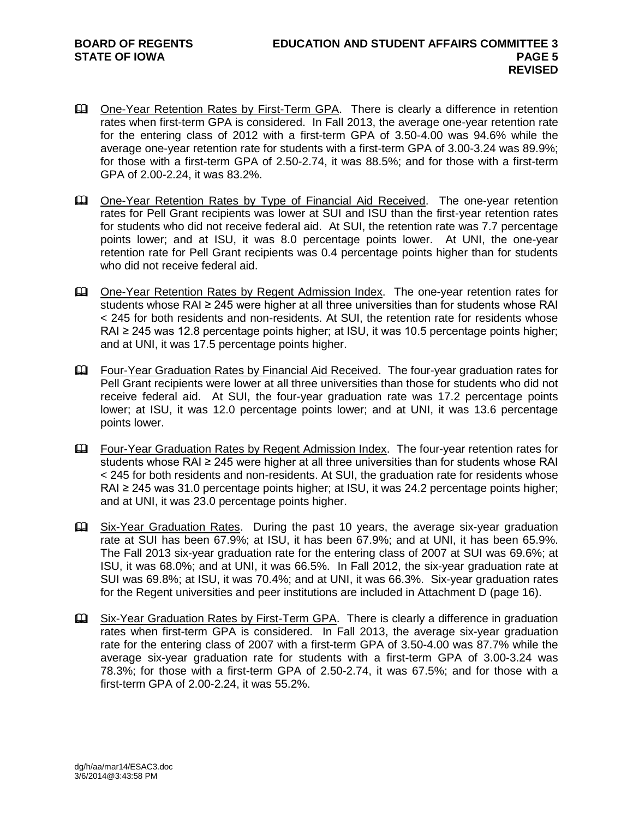- One-Year Retention Rates by First-Term GPA. There is clearly a difference in retention rates when first-term GPA is considered. In Fall 2013, the average one-year retention rate for the entering class of 2012 with a first-term GPA of 3.50-4.00 was 94.6% while the average one-year retention rate for students with a first-term GPA of 3.00-3.24 was 89.9%; for those with a first-term GPA of 2.50-2.74, it was 88.5%; and for those with a first-term GPA of 2.00-2.24, it was 83.2%.
- One-Year Retention Rates by Type of Financial Aid Received. The one-year retention rates for Pell Grant recipients was lower at SUI and ISU than the first-year retention rates for students who did not receive federal aid. At SUI, the retention rate was 7.7 percentage points lower; and at ISU, it was 8.0 percentage points lower. At UNI, the one-year retention rate for Pell Grant recipients was 0.4 percentage points higher than for students who did not receive federal aid.
- One-Year Retention Rates by Regent Admission Index. The one-year retention rates for students whose RAI ≥ 245 were higher at all three universities than for students whose RAI < 245 for both residents and non-residents. At SUI, the retention rate for residents whose RAI ≥ 245 was 12.8 percentage points higher; at ISU, it was 10.5 percentage points higher; and at UNI, it was 17.5 percentage points higher.
- Four-Year Graduation Rates by Financial Aid Received. The four-year graduation rates for Pell Grant recipients were lower at all three universities than those for students who did not receive federal aid. At SUI, the four-year graduation rate was 17.2 percentage points lower; at ISU, it was 12.0 percentage points lower; and at UNI, it was 13.6 percentage points lower.
- Four-Year Graduation Rates by Regent Admission Index. The four-year retention rates for students whose RAI ≥ 245 were higher at all three universities than for students whose RAI < 245 for both residents and non-residents. At SUI, the graduation rate for residents whose RAI ≥ 245 was 31.0 percentage points higher; at ISU, it was 24.2 percentage points higher; and at UNI, it was 23.0 percentage points higher.
- Six-Year Graduation Rates. During the past 10 years, the average six-year graduation rate at SUI has been 67.9%; at ISU, it has been 67.9%; and at UNI, it has been 65.9%. The Fall 2013 six-year graduation rate for the entering class of 2007 at SUI was 69.6%; at ISU, it was 68.0%; and at UNI, it was 66.5%. In Fall 2012, the six-year graduation rate at SUI was 69.8%; at ISU, it was 70.4%; and at UNI, it was 66.3%. Six-year graduation rates for the Regent universities and peer institutions are included in Attachment D (page 16).
- Six-Year Graduation Rates by First-Term GPA. There is clearly a difference in graduation rates when first-term GPA is considered. In Fall 2013, the average six-year graduation rate for the entering class of 2007 with a first-term GPA of 3.50-4.00 was 87.7% while the average six-year graduation rate for students with a first-term GPA of 3.00-3.24 was 78.3%; for those with a first-term GPA of 2.50-2.74, it was 67.5%; and for those with a first-term GPA of 2.00-2.24, it was 55.2%.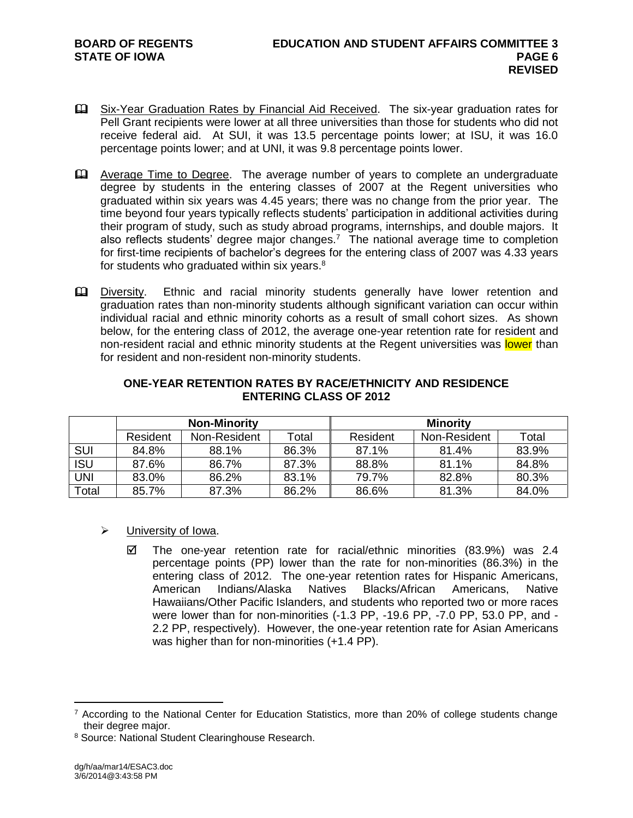- Six-Year Graduation Rates by Financial Aid Received. The six-year graduation rates for Pell Grant recipients were lower at all three universities than those for students who did not receive federal aid. At SUI, it was 13.5 percentage points lower; at ISU, it was 16.0 percentage points lower; and at UNI, it was 9.8 percentage points lower.
- Average Time to Degree. The average number of years to complete an undergraduate degree by students in the entering classes of 2007 at the Regent universities who graduated within six years was 4.45 years; there was no change from the prior year. The time beyond four years typically reflects students' participation in additional activities during their program of study, such as study abroad programs, internships, and double majors. It also reflects students' degree major changes.<sup>7</sup> The national average time to completion for first-time recipients of bachelor's degrees for the entering class of 2007 was 4.33 years for students who graduated within six years. $8$
- **Example 1** Diversity. Ethnic and racial minority students generally have lower retention and graduation rates than non-minority students although significant variation can occur within individual racial and ethnic minority cohorts as a result of small cohort sizes. As shown below, for the entering class of 2012, the average one-year retention rate for resident and non-resident racial and ethnic minority students at the Regent universities was lower than for resident and non-resident non-minority students.

|            | <b>Non-Minority</b> |              |       | <b>Minority</b> |              |       |  |
|------------|---------------------|--------------|-------|-----------------|--------------|-------|--|
|            | Resident            | Non-Resident | Total | Resident        | Non-Resident | Total |  |
| <b>SUI</b> | 84.8%               | 88.1%        | 86.3% | 87.1%           | 81.4%        | 83.9% |  |
| <b>ISU</b> | 87.6%               | 86.7%        | 87.3% | 88.8%           | 81.1%        | 84.8% |  |
| UNI        | 83.0%               | 86.2%        | 83.1% | 79.7%           | 82.8%        | 80.3% |  |
| Total      | 85.7%               | 87.3%        | 86.2% | 86.6%           | 81.3%        | 84.0% |  |

## **ONE-YEAR RETENTION RATES BY RACE/ETHNICITY AND RESIDENCE ENTERING CLASS OF 2012**

- > University of Iowa.
	- $\boxtimes$  The one-year retention rate for racial/ethnic minorities (83.9%) was 2.4 percentage points (PP) lower than the rate for non-minorities (86.3%) in the entering class of 2012. The one-year retention rates for Hispanic Americans, American Indians/Alaska Natives Blacks/African Americans, Native Hawaiians/Other Pacific Islanders, and students who reported two or more races were lower than for non-minorities (-1.3 PP, -19.6 PP, -7.0 PP, 53.0 PP, and - 2.2 PP, respectively). However, the one-year retention rate for Asian Americans was higher than for non-minorities (+1.4 PP).

 $7$  According to the National Center for Education Statistics, more than 20% of college students change their degree major.

<sup>8</sup> Source: National Student Clearinghouse Research.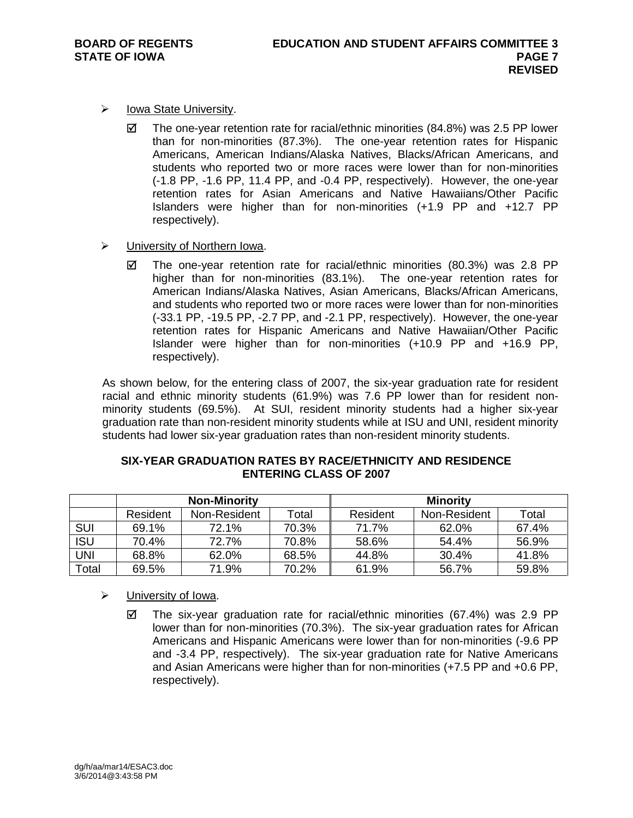- $\triangleright$  Iowa State University.
	- $\boxtimes$  The one-year retention rate for racial/ethnic minorities (84.8%) was 2.5 PP lower than for non-minorities (87.3%). The one-year retention rates for Hispanic Americans, American Indians/Alaska Natives, Blacks/African Americans, and students who reported two or more races were lower than for non-minorities (-1.8 PP, -1.6 PP, 11.4 PP, and -0.4 PP, respectively). However, the one-year retention rates for Asian Americans and Native Hawaiians/Other Pacific Islanders were higher than for non-minorities (+1.9 PP and +12.7 PP respectively).
- University of Northern Iowa.
	- $\boxtimes$  The one-year retention rate for racial/ethnic minorities (80.3%) was 2.8 PP higher than for non-minorities (83.1%). The one-year retention rates for American Indians/Alaska Natives, Asian Americans, Blacks/African Americans, and students who reported two or more races were lower than for non-minorities (-33.1 PP, -19.5 PP, -2.7 PP, and -2.1 PP, respectively). However, the one-year retention rates for Hispanic Americans and Native Hawaiian/Other Pacific Islander were higher than for non-minorities (+10.9 PP and +16.9 PP, respectively).

As shown below, for the entering class of 2007, the six-year graduation rate for resident racial and ethnic minority students (61.9%) was 7.6 PP lower than for resident nonminority students (69.5%). At SUI, resident minority students had a higher six-year graduation rate than non-resident minority students while at ISU and UNI, resident minority students had lower six-year graduation rates than non-resident minority students.

| SIX-YEAR GRADUATION RATES BY RACE/ETHNICITY AND RESIDENCE |
|-----------------------------------------------------------|
| <b>ENTERING CLASS OF 2007</b>                             |
|                                                           |

|            | <b>Non-Minority</b> |              |       | <b>Minority</b> |              |       |  |
|------------|---------------------|--------------|-------|-----------------|--------------|-------|--|
|            | Resident            | Non-Resident | Total | Resident        | Non-Resident | Total |  |
| <b>SUI</b> | 69.1%               | 72.1%        | 70.3% | 71.7%           | 62.0%        | 67.4% |  |
| <b>ISU</b> | 70.4%               | 72.7%        | 70.8% | 58.6%           | 54.4%        | 56.9% |  |
| UNI        | 68.8%               | 62.0%        | 68.5% | 44.8%           | 30.4%        | 41.8% |  |
| Total      | 69.5%               | 71.9%        | 70.2% | 61.9%           | 56.7%        | 59.8% |  |

- $\triangleright$  University of Iowa.
	- $\boxtimes$  The six-year graduation rate for racial/ethnic minorities (67.4%) was 2.9 PP lower than for non-minorities (70.3%). The six-year graduation rates for African Americans and Hispanic Americans were lower than for non-minorities (-9.6 PP and -3.4 PP, respectively). The six-year graduation rate for Native Americans and Asian Americans were higher than for non-minorities (+7.5 PP and +0.6 PP, respectively).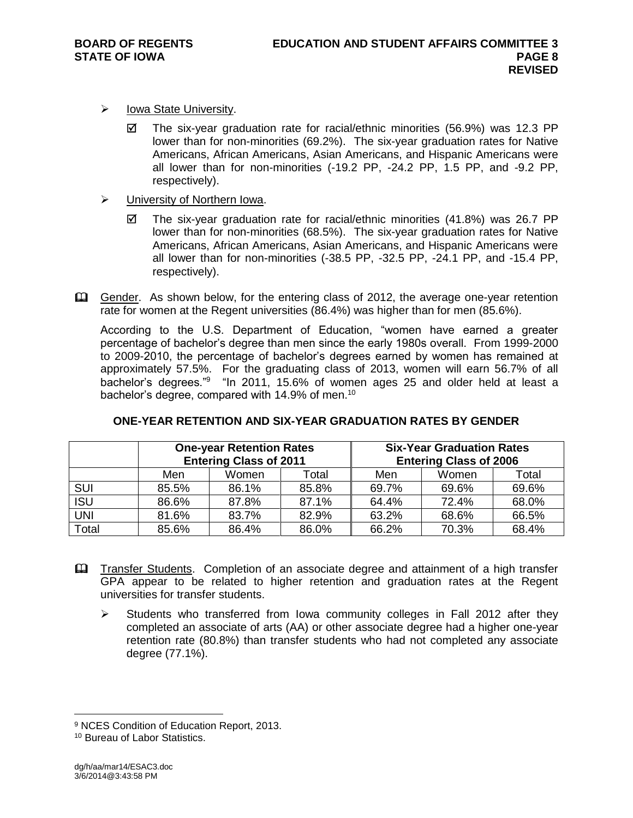- $\triangleright$  Iowa State University.
	- $\boxtimes$  The six-year graduation rate for racial/ethnic minorities (56.9%) was 12.3 PP lower than for non-minorities (69.2%). The six-year graduation rates for Native Americans, African Americans, Asian Americans, and Hispanic Americans were all lower than for non-minorities (-19.2 PP, -24.2 PP, 1.5 PP, and -9.2 PP, respectively).
- University of Northern Iowa.
	- $\boxtimes$  The six-year graduation rate for racial/ethnic minorities (41.8%) was 26.7 PP lower than for non-minorities (68.5%). The six-year graduation rates for Native Americans, African Americans, Asian Americans, and Hispanic Americans were all lower than for non-minorities (-38.5 PP, -32.5 PP, -24.1 PP, and -15.4 PP, respectively).
- Gender. As shown below, for the entering class of 2012, the average one-year retention rate for women at the Regent universities (86.4%) was higher than for men (85.6%).

According to the U.S. Department of Education, "women have earned a greater percentage of bachelor's degree than men since the early 1980s overall. From 1999-2000 to 2009-2010, the percentage of bachelor's degrees earned by women has remained at approximately 57.5%. For the graduating class of 2013, women will earn 56.7% of all bachelor's degrees."<sup>9</sup> "In 2011, 15.6% of women ages 25 and older held at least a bachelor's degree, compared with 14.9% of men.<sup>10</sup>

|            | <b>One-year Retention Rates</b><br><b>Entering Class of 2011</b> |       |       | <b>Six-Year Graduation Rates</b><br><b>Entering Class of 2006</b> |       |       |  |
|------------|------------------------------------------------------------------|-------|-------|-------------------------------------------------------------------|-------|-------|--|
|            | Men                                                              | Women | Total | Men                                                               | Women | Total |  |
| <b>SUI</b> | 85.5%                                                            | 86.1% | 85.8% | 69.7%                                                             | 69.6% | 69.6% |  |
| <b>ISU</b> | 86.6%                                                            | 87.8% | 87.1% | 64.4%                                                             | 72.4% | 68.0% |  |
| <b>UNI</b> | 81.6%                                                            | 83.7% | 82.9% | 63.2%                                                             | 68.6% | 66.5% |  |
| Total      | 85.6%                                                            | 86.4% | 86.0% | 66.2%                                                             | 70.3% | 68.4% |  |

### **ONE-YEAR RETENTION AND SIX-YEAR GRADUATION RATES BY GENDER**

- Transfer Students. Completion of an associate degree and attainment of a high transfer GPA appear to be related to higher retention and graduation rates at the Regent universities for transfer students.
	- $\triangleright$  Students who transferred from Iowa community colleges in Fall 2012 after they completed an associate of arts (AA) or other associate degree had a higher one-year retention rate (80.8%) than transfer students who had not completed any associate degree (77.1%).

<sup>9</sup> NCES Condition of Education Report, 2013.

<sup>10</sup> Bureau of Labor Statistics.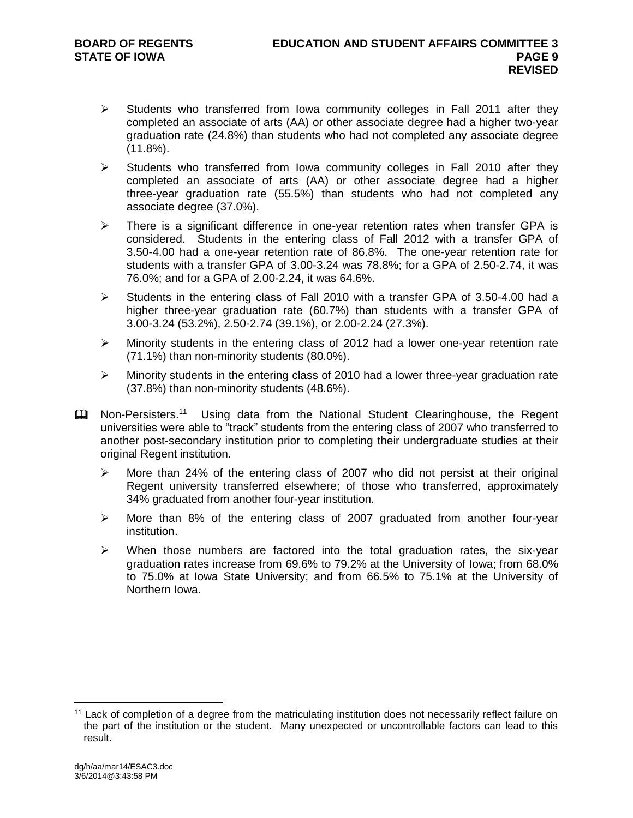- $\triangleright$  Students who transferred from Iowa community colleges in Fall 2011 after they completed an associate of arts (AA) or other associate degree had a higher two-year graduation rate (24.8%) than students who had not completed any associate degree  $(11.8\%)$ .
- $\triangleright$  Students who transferred from Iowa community colleges in Fall 2010 after they completed an associate of arts (AA) or other associate degree had a higher three-year graduation rate (55.5%) than students who had not completed any associate degree (37.0%).
- $\triangleright$  There is a significant difference in one-year retention rates when transfer GPA is considered. Students in the entering class of Fall 2012 with a transfer GPA of 3.50-4.00 had a one-year retention rate of 86.8%. The one-year retention rate for students with a transfer GPA of 3.00-3.24 was 78.8%; for a GPA of 2.50-2.74, it was 76.0%; and for a GPA of 2.00-2.24, it was 64.6%.
- $\triangleright$  Students in the entering class of Fall 2010 with a transfer GPA of 3.50-4.00 had a higher three-year graduation rate (60.7%) than students with a transfer GPA of 3.00-3.24 (53.2%), 2.50-2.74 (39.1%), or 2.00-2.24 (27.3%).
- Minority students in the entering class of 2012 had a lower one-year retention rate (71.1%) than non-minority students (80.0%).
- $\triangleright$  Minority students in the entering class of 2010 had a lower three-year graduation rate (37.8%) than non-minority students (48.6%).
- **E Non-Persisters.**<sup>11</sup> Using data from the National Student Clearinghouse, the Regent universities were able to "track" students from the entering class of 2007 who transferred to another post-secondary institution prior to completing their undergraduate studies at their original Regent institution.
	- $\triangleright$  More than 24% of the entering class of 2007 who did not persist at their original Regent university transferred elsewhere; of those who transferred, approximately 34% graduated from another four-year institution.
	- $\triangleright$  More than 8% of the entering class of 2007 graduated from another four-year institution.
	- $\triangleright$  When those numbers are factored into the total graduation rates, the six-year graduation rates increase from 69.6% to 79.2% at the University of Iowa; from 68.0% to 75.0% at Iowa State University; and from 66.5% to 75.1% at the University of Northern Iowa.

<sup>11</sup> Lack of completion of a degree from the matriculating institution does not necessarily reflect failure on the part of the institution or the student. Many unexpected or uncontrollable factors can lead to this result.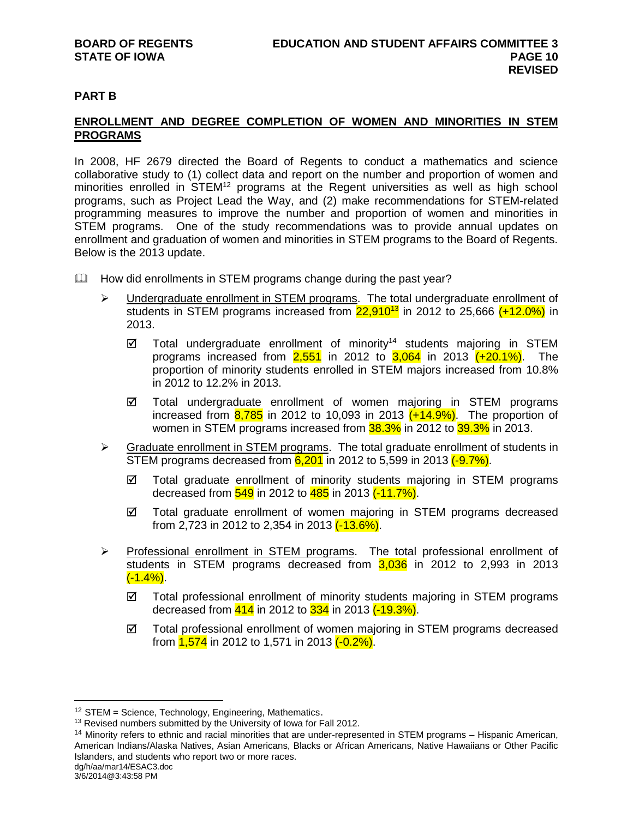# **PART B**

# **ENROLLMENT AND DEGREE COMPLETION OF WOMEN AND MINORITIES IN STEM PROGRAMS**

In 2008, HF 2679 directed the Board of Regents to conduct a mathematics and science collaborative study to (1) collect data and report on the number and proportion of women and minorities enrolled in STEM<sup>12</sup> programs at the Regent universities as well as high school programs, such as Project Lead the Way, and (2) make recommendations for STEM-related programming measures to improve the number and proportion of women and minorities in STEM programs. One of the study recommendations was to provide annual updates on enrollment and graduation of women and minorities in STEM programs to the Board of Regents. Below is the 2013 update.

- $\mathbb{Q}$  How did enrollments in STEM programs change during the past year?
	- $\triangleright$  Undergraduate enrollment in STEM programs. The total undergraduate enrollment of students in STEM programs increased from  $22,910^{13}$  in 2012 to 25,666  $(+12.0\%)$  in 2013.
		- $\boxtimes$  Total undergraduate enrollment of minority<sup>14</sup> students majoring in STEM programs increased from  $2.551$  in 2012 to  $3.064$  in 2013  $(+20.1\%)$ . The proportion of minority students enrolled in STEM majors increased from 10.8% in 2012 to 12.2% in 2013.
		- Total undergraduate enrollment of women majoring in STEM programs increased from  $\frac{8,785}{2}$  in 2012 to 10,093 in 2013  $(+14.9\%)$ . The proportion of women in STEM programs increased from **38.3%** in 2012 to 39.3% in 2013.
	- Size Graduate enrollment in STEM programs. The total graduate enrollment of students in STEM programs decreased from  $6,201$  in 2012 to 5,599 in 2013  $(-9.7\%)$ .
		- $\boxtimes$  Total graduate enrollment of minority students majoring in STEM programs decreased from 549 in 2012 to 485 in 2013 (-11.7%).
		- $\boxtimes$  Total graduate enrollment of women majoring in STEM programs decreased from 2,723 in 2012 to 2,354 in 2013 (-13.6%).
	- $\triangleright$  Professional enrollment in STEM programs. The total professional enrollment of students in STEM programs decreased from  $3,036$  in 2012 to 2,993 in 2013  $(-1.4\%)$ .
		- $\boxtimes$  Total professional enrollment of minority students majoring in STEM programs decreased from 414 in 2012 to 334 in 2013 (-19.3%).
		- $\boxtimes$  Total professional enrollment of women majoring in STEM programs decreased from **1,574** in 2012 to 1,571 in 2013 (-0.2%).

3/6/2014@3:43:58 PM

<sup>12</sup> STEM = Science, Technology, Engineering, Mathematics.

<sup>&</sup>lt;sup>13</sup> Revised numbers submitted by the University of Iowa for Fall 2012.

dg/h/aa/mar14/ESAC3.doc <sup>14</sup> Minority refers to ethnic and racial minorities that are under-represented in STEM programs – Hispanic American, American Indians/Alaska Natives, Asian Americans, Blacks or African Americans, Native Hawaiians or Other Pacific Islanders, and students who report two or more races.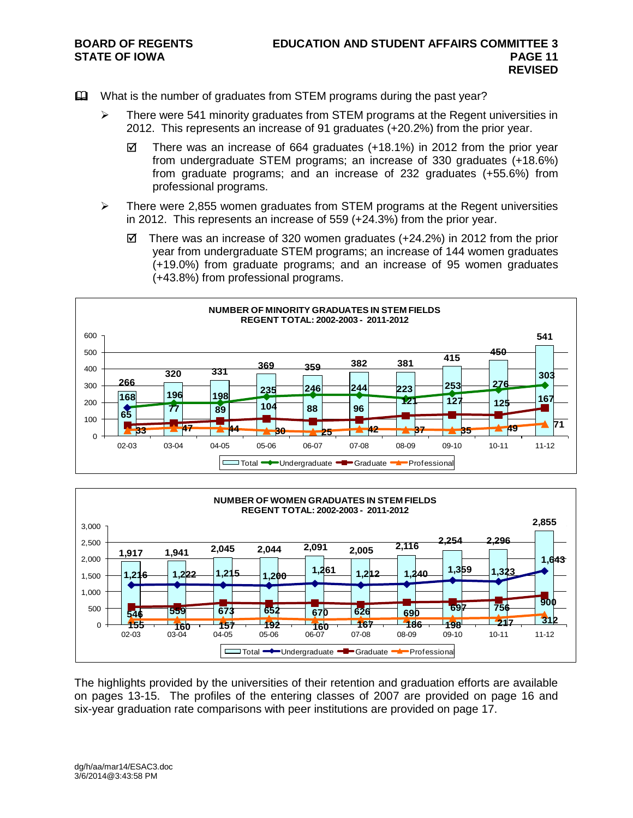- What is the number of graduates from STEM programs during the past year?
	- $\triangleright$  There were 541 minority graduates from STEM programs at the Regent universities in 2012. This represents an increase of 91 graduates (+20.2%) from the prior year.
		- There was an increase of 664 graduates (+18.1%) in 2012 from the prior year from undergraduate STEM programs; an increase of 330 graduates (+18.6%) from graduate programs; and an increase of 232 graduates (+55.6%) from professional programs.
	- $\triangleright$  There were 2,855 women graduates from STEM programs at the Regent universities in 2012. This represents an increase of 559 (+24.3%) from the prior year.
		- $\boxtimes$  There was an increase of 320 women graduates (+24.2%) in 2012 from the prior year from undergraduate STEM programs; an increase of 144 women graduates (+19.0%) from graduate programs; and an increase of 95 women graduates (+43.8%) from professional programs.





The highlights provided by the universities of their retention and graduation efforts are available on pages 13-15. The profiles of the entering classes of 2007 are provided on page 16 and six-year graduation rate comparisons with peer institutions are provided on page 17.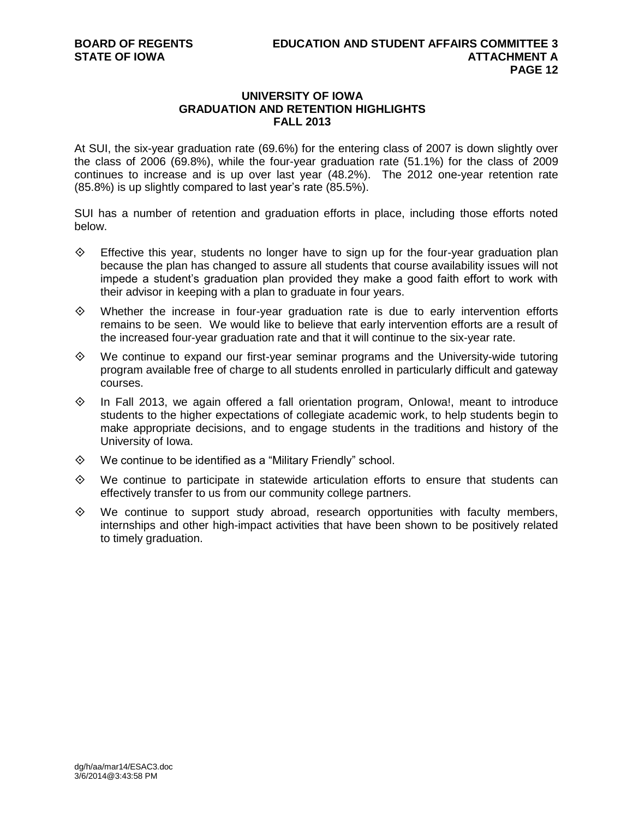## **UNIVERSITY OF IOWA GRADUATION AND RETENTION HIGHLIGHTS FALL 2013**

At SUI, the six-year graduation rate (69.6%) for the entering class of 2007 is down slightly over the class of 2006 (69.8%), while the four-year graduation rate (51.1%) for the class of 2009 continues to increase and is up over last year (48.2%). The 2012 one-year retention rate (85.8%) is up slightly compared to last year's rate (85.5%).

SUI has a number of retention and graduation efforts in place, including those efforts noted below.

- $\diamond$  Effective this year, students no longer have to sign up for the four-year graduation plan because the plan has changed to assure all students that course availability issues will not impede a student's graduation plan provided they make a good faith effort to work with their advisor in keeping with a plan to graduate in four years.
- $\diamond$  Whether the increase in four-year graduation rate is due to early intervention efforts remains to be seen. We would like to believe that early intervention efforts are a result of the increased four-year graduation rate and that it will continue to the six-year rate.
- $\diamond$  We continue to expand our first-year seminar programs and the University-wide tutoring program available free of charge to all students enrolled in particularly difficult and gateway courses.
- $\diamond$  In Fall 2013, we again offered a fall orientation program, Onlowa!, meant to introduce students to the higher expectations of collegiate academic work, to help students begin to make appropriate decisions, and to engage students in the traditions and history of the University of Iowa.
- $\diamond$  We continue to be identified as a "Military Friendly" school.
- $\diamond$  We continue to participate in statewide articulation efforts to ensure that students can effectively transfer to us from our community college partners.
- $\diamond$  We continue to support study abroad, research opportunities with faculty members, internships and other high-impact activities that have been shown to be positively related to timely graduation.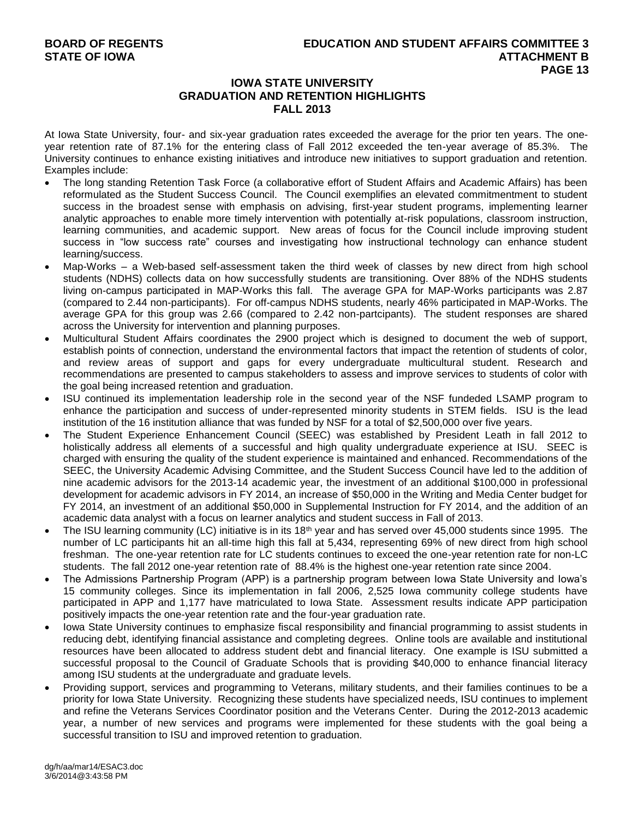## **IOWA STATE UNIVERSITY GRADUATION AND RETENTION HIGHLIGHTS FALL 2013**

At Iowa State University, four- and six-year graduation rates exceeded the average for the prior ten years. The oneyear retention rate of 87.1% for the entering class of Fall 2012 exceeded the ten-year average of 85.3%. The University continues to enhance existing initiatives and introduce new initiatives to support graduation and retention. Examples include:

- The long standing Retention Task Force (a collaborative effort of Student Affairs and Academic Affairs) has been reformulated as the Student Success Council. The Council exemplifies an elevated commitmentment to student success in the broadest sense with emphasis on advising, first-year student programs, implementing learner analytic approaches to enable more timely intervention with potentially at-risk populations, classroom instruction, learning communities, and academic support. New areas of focus for the Council include improving student success in "low success rate" courses and investigating how instructional technology can enhance student learning/success.
- Map-Works a Web-based self-assessment taken the third week of classes by new direct from high school students (NDHS) collects data on how successfully students are transitioning. Over 88% of the NDHS students living on-campus participated in MAP-Works this fall. The average GPA for MAP-Works participants was 2.87 (compared to 2.44 non-participants). For off-campus NDHS students, nearly 46% participated in MAP-Works. The average GPA for this group was 2.66 (compared to 2.42 non-partcipants). The student responses are shared across the University for intervention and planning purposes.
- Multicultural Student Affairs coordinates the 2900 project which is designed to document the web of support, establish points of connection, understand the environmental factors that impact the retention of students of color, and review areas of support and gaps for every undergraduate multicultural student. Research and recommendations are presented to campus stakeholders to assess and improve services to students of color with the goal being increased retention and graduation.
- ISU continued its implementation leadership role in the second year of the NSF fundeded LSAMP program to enhance the participation and success of under-represented minority students in STEM fields. ISU is the lead institution of the 16 institution alliance that was funded by NSF for a total of \$2,500,000 over five years.
- The Student Experience Enhancement Council (SEEC) was established by President Leath in fall 2012 to holistically address all elements of a successful and high quality undergraduate experience at ISU. SEEC is charged with ensuring the quality of the student experience is maintained and enhanced. Recommendations of the SEEC, the University Academic Advising Committee, and the Student Success Council have led to the addition of nine academic advisors for the 2013-14 academic year, the investment of an additional \$100,000 in professional development for academic advisors in FY 2014, an increase of \$50,000 in the Writing and Media Center budget for FY 2014, an investment of an additional \$50,000 in Supplemental Instruction for FY 2014, and the addition of an academic data analyst with a focus on learner analytics and student success in Fall of 2013.
- The ISU learning community (LC) initiative is in its 18<sup>th</sup> year and has served over 45,000 students since 1995. The number of LC participants hit an all-time high this fall at 5.434, representing 69% of new direct from high school freshman. The one-year retention rate for LC students continues to exceed the one-year retention rate for non-LC students. The fall 2012 one-year retention rate of 88.4% is the highest one-year retention rate since 2004.
- The Admissions Partnership Program (APP) is a partnership program between Iowa State University and Iowa's 15 community colleges. Since its implementation in fall 2006, 2,525 Iowa community college students have participated in APP and 1,177 have matriculated to Iowa State. Assessment results indicate APP participation positively impacts the one-year retention rate and the four-year graduation rate.
- Iowa State University continues to emphasize fiscal responsibility and financial programming to assist students in reducing debt, identifying financial assistance and completing degrees. Online tools are available and institutional resources have been allocated to address student debt and financial literacy. One example is ISU submitted a successful proposal to the Council of Graduate Schools that is providing \$40,000 to enhance financial literacy among ISU students at the undergraduate and graduate levels.
- Providing support, services and programming to Veterans, military students, and their families continues to be a priority for Iowa State University. Recognizing these students have specialized needs, ISU continues to implement and refine the Veterans Services Coordinator position and the Veterans Center. During the 2012-2013 academic year, a number of new services and programs were implemented for these students with the goal being a successful transition to ISU and improved retention to graduation.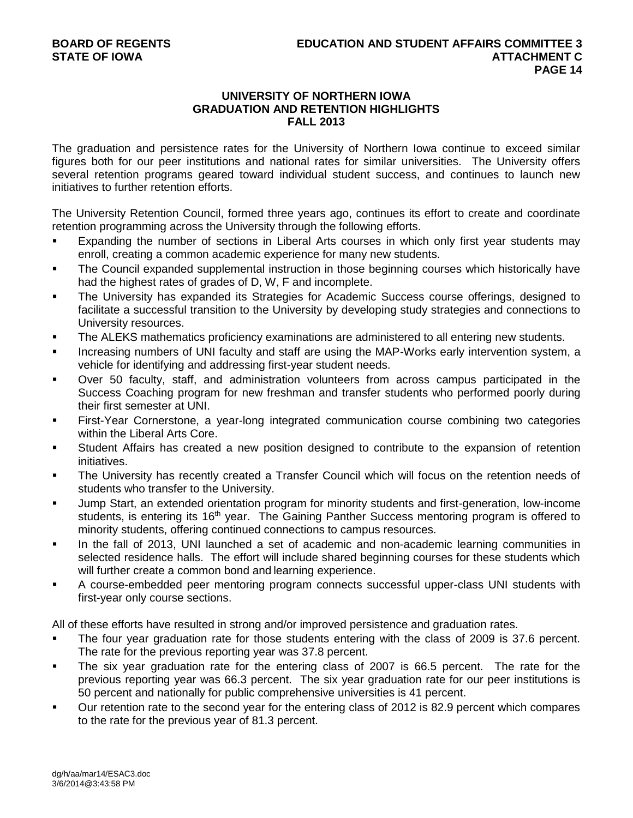## **UNIVERSITY OF NORTHERN IOWA GRADUATION AND RETENTION HIGHLIGHTS FALL 2013**

The graduation and persistence rates for the University of Northern Iowa continue to exceed similar figures both for our peer institutions and national rates for similar universities. The University offers several retention programs geared toward individual student success, and continues to launch new initiatives to further retention efforts.

The University Retention Council, formed three years ago, continues its effort to create and coordinate retention programming across the University through the following efforts.

- **Expanding the number of sections in Liberal Arts courses in which only first year students may** enroll, creating a common academic experience for many new students.
- The Council expanded supplemental instruction in those beginning courses which historically have had the highest rates of grades of D, W, F and incomplete.
- The University has expanded its Strategies for Academic Success course offerings, designed to facilitate a successful transition to the University by developing study strategies and connections to University resources.
- **The ALEKS mathematics proficiency examinations are administered to all entering new students.**
- Increasing numbers of UNI faculty and staff are using the MAP-Works early intervention system, a vehicle for identifying and addressing first-year student needs.
- Over 50 faculty, staff, and administration volunteers from across campus participated in the Success Coaching program for new freshman and transfer students who performed poorly during their first semester at UNI.
- First-Year Cornerstone, a year-long integrated communication course combining two categories within the Liberal Arts Core.
- Student Affairs has created a new position designed to contribute to the expansion of retention initiatives.
- The University has recently created a Transfer Council which will focus on the retention needs of students who transfer to the University.
- Jump Start, an extended orientation program for minority students and first-generation, low-income students, is entering its 16<sup>th</sup> year. The Gaining Panther Success mentoring program is offered to minority students, offering continued connections to campus resources.
- In the fall of 2013, UNI launched a set of academic and non-academic learning communities in selected residence halls. The effort will include shared beginning courses for these students which will further create a common bond and learning experience.
- A course-embedded peer mentoring program connects successful upper-class UNI students with first-year only course sections.

All of these efforts have resulted in strong and/or improved persistence and graduation rates.

- The four year graduation rate for those students entering with the class of 2009 is 37.6 percent. The rate for the previous reporting year was 37.8 percent.
- The six year graduation rate for the entering class of 2007 is 66.5 percent. The rate for the previous reporting year was 66.3 percent. The six year graduation rate for our peer institutions is 50 percent and nationally for public comprehensive universities is 41 percent.
- Our retention rate to the second year for the entering class of 2012 is 82.9 percent which compares to the rate for the previous year of 81.3 percent.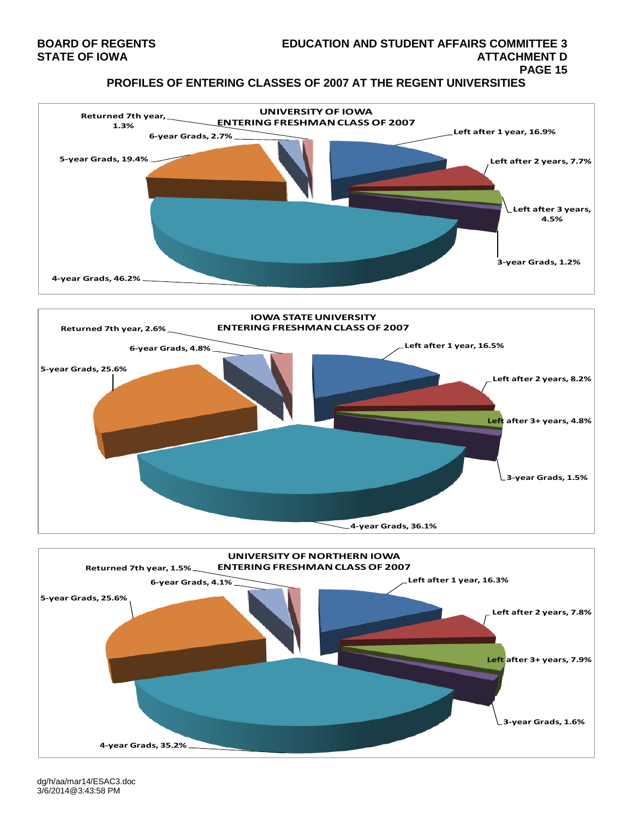#### **BOARD OF REGENTS EDUCATION AND STUDENT AFFAIRS COMMITTEE 3 STATE OF IOWA ATTACHMENT D PAGE 15**

**PROFILES OF ENTERING CLASSES OF 2007 AT THE REGENT UNIVERSITIES**







dg/h/aa/mar14/ESAC3.doc 3/6/2014@3:43:58 PM